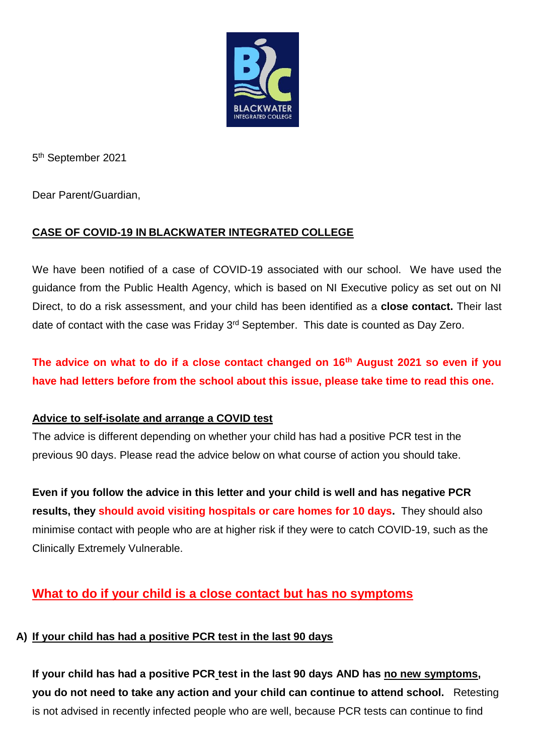

5 th September 2021

Dear Parent/Guardian,

### **CASE OF COVID-19 IN BLACKWATER INTEGRATED COLLEGE**

We have been notified of a case of COVID-19 associated with our school. We have used the guidance from the Public Health Agency, which is based on NI Executive policy as set out on NI Direct, to do a risk assessment, and your child has been identified as a **close contact.** Their last date of contact with the case was Friday 3<sup>rd</sup> September. This date is counted as Day Zero.

**The advice on what to do if a close contact changed on 16th August 2021 so even if you have had letters before from the school about this issue, please take time to read this one.**

#### **Advice to self-isolate and arrange a COVID test**

The advice is different depending on whether your child has had a positive PCR test in the previous 90 days. Please read the advice below on what course of action you should take.

**Even if you follow the advice in this letter and your child is well and has negative PCR results, they should avoid visiting hospitals or care homes for 10 days.** They should also minimise contact with people who are at higher risk if they were to catch COVID-19, such as the Clinically Extremely Vulnerable.

# **What to do if your child is a close contact but has no symptoms**

#### **A) If your child has had a positive PCR test in the last 90 days**

**If your child has had a positive PCR test in the last 90 days AND has no new symptoms, you do not need to take any action and your child can continue to attend school.** Retesting is not advised in recently infected people who are well, because PCR tests can continue to find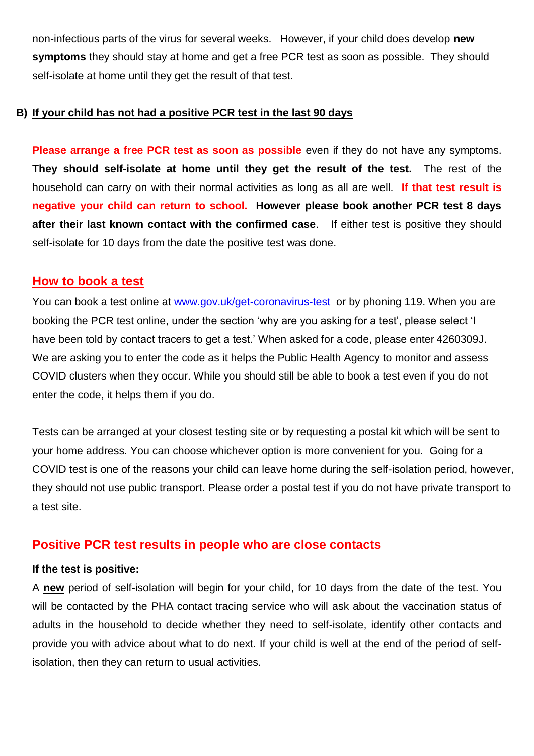non-infectious parts of the virus for several weeks. However, if your child does develop **new symptoms** they should stay at home and get a free PCR test as soon as possible. They should self-isolate at home until they get the result of that test.

#### **B) If your child has not had a positive PCR test in the last 90 days**

**Please arrange a free PCR test as soon as possible** even if they do not have any symptoms. **They should self-isolate at home until they get the result of the test.** The rest of the household can carry on with their normal activities as long as all are well. **If that test result is negative your child can return to school. However please book another PCR test 8 days after their last known contact with the confirmed case**. If either test is positive they should self-isolate for 10 days from the date the positive test was done.

# **How to book a test**

You can book a test online at [www.gov.uk/get-coronavirus-test](http://www.gov.uk/get-coronavirus-test) or by phoning 119. When you are booking the PCR test online, under the section 'why are you asking for a test', please select 'I have been told by contact tracers to get a test.' When asked for a code, please enter 4260309J. We are asking you to enter the code as it helps the Public Health Agency to monitor and assess COVID clusters when they occur. While you should still be able to book a test even if you do not enter the code, it helps them if you do.

Tests can be arranged at your closest testing site or by requesting a postal kit which will be sent to your home address. You can choose whichever option is more convenient for you. Going for a COVID test is one of the reasons your child can leave home during the self-isolation period, however, they should not use public transport. Please order a postal test if you do not have private transport to a test site.

# **Positive PCR test results in people who are close contacts**

#### **If the test is positive:**

A **new** period of self-isolation will begin for your child, for 10 days from the date of the test. You will be contacted by the PHA contact tracing service who will ask about the vaccination status of adults in the household to decide whether they need to self-isolate, identify other contacts and provide you with advice about what to do next. If your child is well at the end of the period of selfisolation, then they can return to usual activities.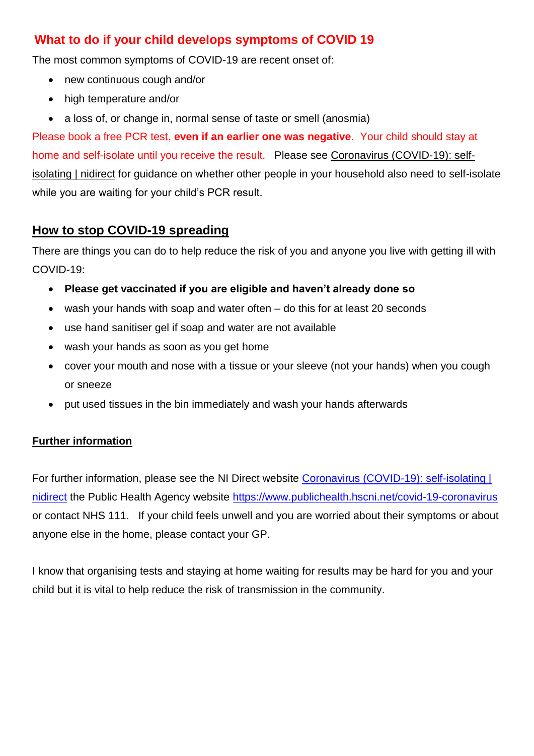# **What to do if your child develops symptoms of COVID 19**

The most common symptoms of COVID-19 are recent onset of:

- new continuous cough and/or
- high temperature and/or
- a loss of, or change in, normal sense of taste or smell (anosmia)

Please book a free PCR test, **even if an earlier one was negative**. Your child should stay at home and self-isolate until you receive the result. Please see [Coronavirus \(COVID-19\): self](https://www.nidirect.gov.uk/articles/coronavirus-covid-19-self-isolating)[isolating | nidirect](https://www.nidirect.gov.uk/articles/coronavirus-covid-19-self-isolating) for guidance on whether other people in your household also need to self-isolate while you are waiting for your child's PCR result.

# **How to stop COVID-19 spreading**

There are things you can do to help reduce the risk of you and anyone you live with getting ill with COVID-19:

- **Please get vaccinated if you are eligible and haven't already done so**
- wash your hands with soap and water often do this for at least 20 seconds
- use hand sanitiser gel if soap and water are not available
- wash your hands as soon as you get home
- cover your mouth and nose with a tissue or your sleeve (not your hands) when you cough or sneeze
- put used tissues in the bin immediately and wash your hands afterwards

# **Further information**

For further information, please see the NI Direct website [Coronavirus \(COVID-19\): self-isolating |](https://www.nidirect.gov.uk/articles/coronavirus-covid-19-self-isolating)  [nidirect](https://www.nidirect.gov.uk/articles/coronavirus-covid-19-self-isolating) the Public Health Agency website<https://www.publichealth.hscni.net/covid-19-coronavirus> or contact NHS 111. If your child feels unwell and you are worried about their symptoms or about anyone else in the home, please contact your GP.

I know that organising tests and staying at home waiting for results may be hard for you and your child but it is vital to help reduce the risk of transmission in the community.